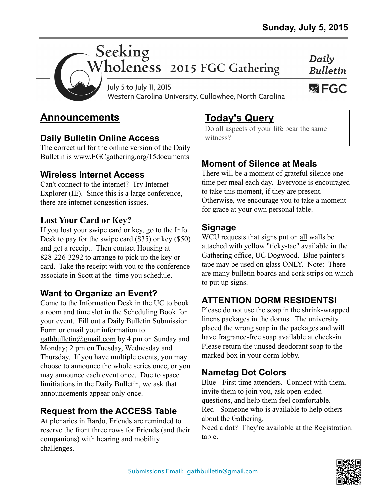Daily



Seeking<br>Wholeness 2015 FGC Gathering

**Bulletin WEGC** 

July 5 to July 11, 2015 Western Carolina University, Cullowhee, North Carolina

# **Announcements**

### **Daily Bulletin Online Access**

The correct url for the online version of the Daily Bulletin is [www.FGCgathering.org/15documents](http://www.FGCgathering.org/15documents)

## **Wireless Internet Access**

Can't connect to the internet? Try Internet Explorer (IE). Since this is a large conference, there are internet congestion issues.

### **Lost Your Card or Key?**

If you lost your swipe card or key, go to the Info Desk to pay for the swipe card (\$35) or key (\$50) and get a receipt. Then contact Housing at 828-226-3292 to arrange to pick up the key or card. Take the receipt with you to the conference associate in Scott at the time you schedule.

## **Want to Organize an Event?**

Come to the Information Desk in the UC to book a room and time slot in the Scheduling Book for your event. Fill out a Daily Bulletin Submission Form or email your information to [gathbulletin@gmail.com](mailto:gathbulletin@gmail.com) by 4 pm on Sunday and Monday; 2 pm on Tuesday, Wednesday and Thursday. If you have multiple events, you may choose to announce the whole series once, or you may announce each event once. Due to space limitiations in the Daily Bulletin, we ask that announcements appear only once.

## **Request from the ACCESS Table**

At plenaries in Bardo, Friends are reminded to reserve the front three rows for Friends (and their companions) with hearing and mobility challenges.

# **Today's Query**

Do all aspects of your life bear the same witness?

# **Moment of Silence at Meals**

There will be a moment of grateful silence one time per meal each day. Everyone is encouraged to take this moment, if they are present. Otherwise, we encourage you to take a moment for grace at your own personal table.

## **Signage**

WCU requests that signs put on all walls be attached with yellow "ticky-tac" available in the Gathering office, UC Dogwood. Blue painter's tape may be used on glass ONLY. Note: There are many bulletin boards and cork strips on which to put up signs.

# **ATTENTION DORM RESIDENTS!**

Please do not use the soap in the shrink-wrapped linens packages in the dorms. The university placed the wrong soap in the packages and will have fragrance-free soap available at check-in. Please return the unused deodorant soap to the marked box in your dorm lobby.

# **Nametag Dot Colors**

Blue - First time attenders. Connect with them, invite them to join you, ask open-ended questions, and help them feel comfortable. Red - Someone who is available to help others about the Gathering.

Need a dot? They're available at the Registration. table.